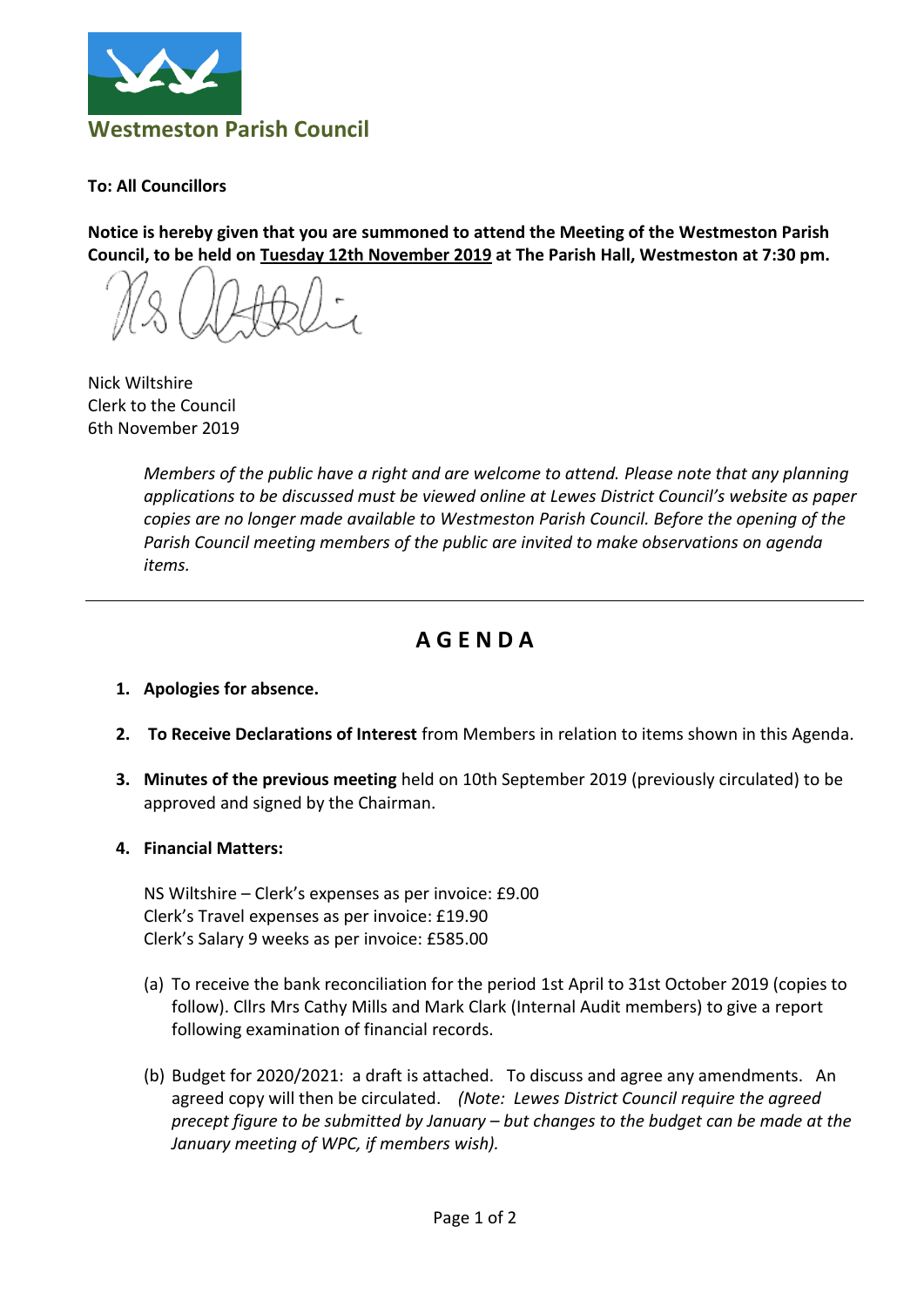

**To: All Councillors**

**Notice is hereby given that you are summoned to attend the Meeting of the Westmeston Parish Council, to be held on Tuesday 12th November 2019 at The Parish Hall, Westmeston at 7:30 pm.**

Nick Wiltshire Clerk to the Council 6th November 2019

*Members of the public have a right and are welcome to attend. Please note that any planning applications to be discussed must be viewed online at Lewes District Council's website as paper copies are no longer made available to Westmeston Parish Council. Before the opening of the Parish Council meeting members of the public are invited to make observations on agenda items.*

## **A G E N D A**

- **1. Apologies for absence.**
- **2. To Receive Declarations of Interest** from Members in relation to items shown in this Agenda.
- **3. Minutes of the previous meeting** held on 10th September 2019 (previously circulated) to be approved and signed by the Chairman.
- **4. Financial Matters:**

NS Wiltshire – Clerk's expenses as per invoice: £9.00 Clerk's Travel expenses as per invoice: £19.90 Clerk's Salary 9 weeks as per invoice: £585.00

- (a) To receive the bank reconciliation for the period 1st April to 31st October 2019 (copies to follow). Cllrs Mrs Cathy Mills and Mark Clark (Internal Audit members) to give a report following examination of financial records.
- (b) Budget for 2020/2021: a draft is attached. To discuss and agree any amendments. An agreed copy will then be circulated. *(Note: Lewes District Council require the agreed precept figure to be submitted by January – but changes to the budget can be made at the January meeting of WPC, if members wish).*